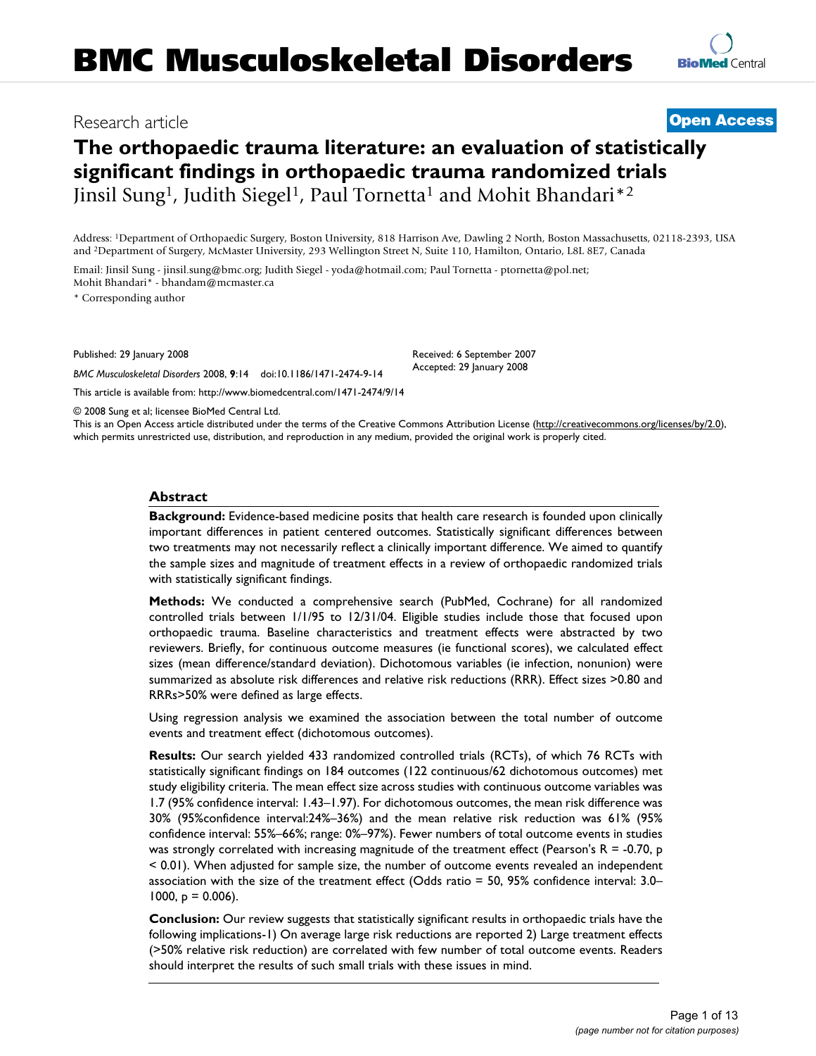# **The orthopaedic trauma literature: an evaluation of statistically significant findings in orthopaedic trauma randomized trials** Jinsil Sung<sup>1</sup>, Judith Siegel<sup>1</sup>, Paul Tornetta<sup>1</sup> and Mohit Bhandari<sup>\*2</sup>

Address: 1Department of Orthopaedic Surgery, Boston University, 818 Harrison Ave, Dawling 2 North, Boston Massachusetts, 02118-2393, USA and 2Department of Surgery, McMaster University, 293 Wellington Street N, Suite 110, Hamilton, Ontario, L8L 8E7, Canada

Email: Jinsil Sung - jinsil.sung@bmc.org; Judith Siegel - yoda@hotmail.com; Paul Tornetta - ptornetta@pol.net; Mohit Bhandari\* - bhandam@mcmaster.ca

\* Corresponding author

Published: 29 January 2008

*BMC Musculoskeletal Disorders* 2008, **9**:14 doi:10.1186/1471-2474-9-14

[This article is available from: http://www.biomedcentral.com/1471-2474/9/14](http://www.biomedcentral.com/1471-2474/9/14)

© 2008 Sung et al; licensee BioMed Central Ltd.

This is an Open Access article distributed under the terms of the Creative Commons Attribution License [\(http://creativecommons.org/licenses/by/2.0\)](http://creativecommons.org/licenses/by/2.0), which permits unrestricted use, distribution, and reproduction in any medium, provided the original work is properly cited.

#### **Abstract**

**Background:** Evidence-based medicine posits that health care research is founded upon clinically important differences in patient centered outcomes. Statistically significant differences between two treatments may not necessarily reflect a clinically important difference. We aimed to quantify the sample sizes and magnitude of treatment effects in a review of orthopaedic randomized trials with statistically significant findings.

**Methods:** We conducted a comprehensive search (PubMed, Cochrane) for all randomized controlled trials between 1/1/95 to 12/31/04. Eligible studies include those that focused upon orthopaedic trauma. Baseline characteristics and treatment effects were abstracted by two reviewers. Briefly, for continuous outcome measures (ie functional scores), we calculated effect sizes (mean difference/standard deviation). Dichotomous variables (ie infection, nonunion) were summarized as absolute risk differences and relative risk reductions (RRR). Effect sizes >0.80 and RRRs>50% were defined as large effects.

Using regression analysis we examined the association between the total number of outcome events and treatment effect (dichotomous outcomes).

**Results:** Our search yielded 433 randomized controlled trials (RCTs), of which 76 RCTs with statistically significant findings on 184 outcomes (122 continuous/62 dichotomous outcomes) met study eligibility criteria. The mean effect size across studies with continuous outcome variables was 1.7 (95% confidence interval: 1.43–1.97). For dichotomous outcomes, the mean risk difference was 30% (95%confidence interval:24%–36%) and the mean relative risk reduction was 61% (95% confidence interval: 55%–66%; range: 0%–97%). Fewer numbers of total outcome events in studies was strongly correlated with increasing magnitude of the treatment effect (Pearson's  $R = -0.70$ , p < 0.01). When adjusted for sample size, the number of outcome events revealed an independent association with the size of the treatment effect (Odds ratio = 50, 95% confidence interval: 3.0– 1000,  $p = 0.006$ ).

**Conclusion:** Our review suggests that statistically significant results in orthopaedic trials have the following implications-1) On average large risk reductions are reported 2) Large treatment effects (>50% relative risk reduction) are correlated with few number of total outcome events. Readers should interpret the results of such small trials with these issues in mind.

Received: 6 September 2007 Accepted: 29 January 2008

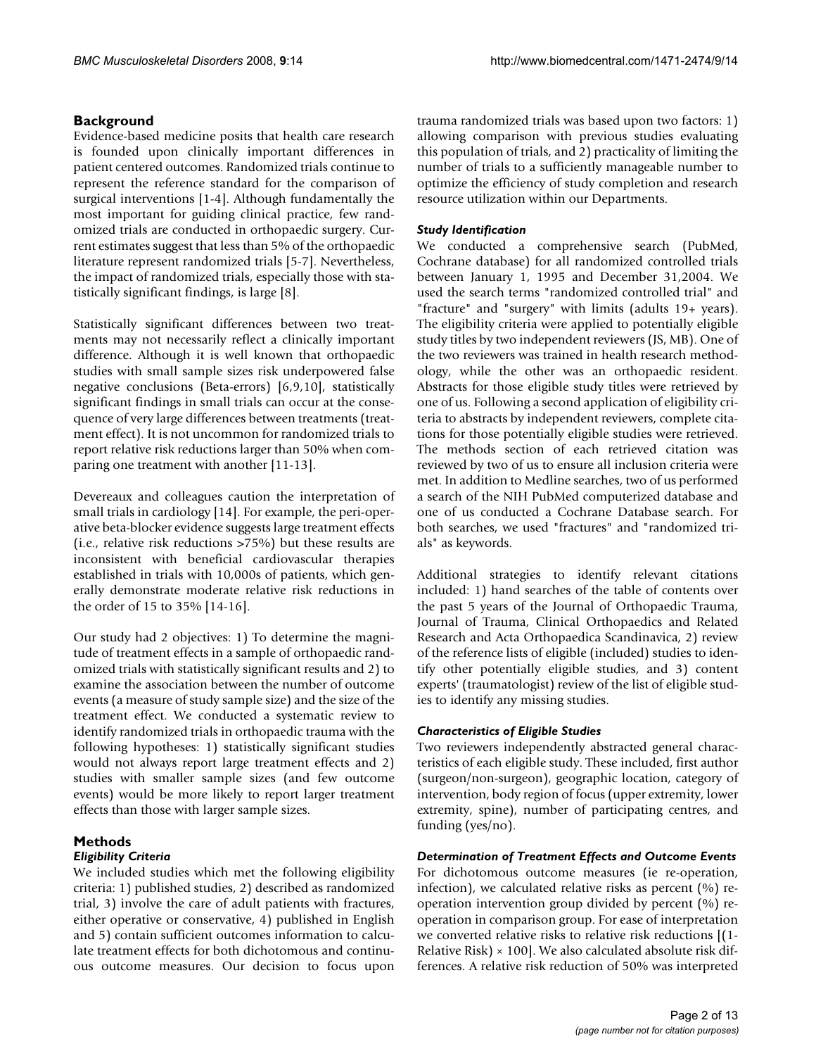# **Background**

Evidence-based medicine posits that health care research is founded upon clinically important differences in patient centered outcomes. Randomized trials continue to represent the reference standard for the comparison of surgical interventions [1-4]. Although fundamentally the most important for guiding clinical practice, few randomized trials are conducted in orthopaedic surgery. Current estimates suggest that less than 5% of the orthopaedic literature represent randomized trials [5-7]. Nevertheless, the impact of randomized trials, especially those with statistically significant findings, is large [8].

Statistically significant differences between two treatments may not necessarily reflect a clinically important difference. Although it is well known that orthopaedic studies with small sample sizes risk underpowered false negative conclusions (Beta-errors) [6,9,10], statistically significant findings in small trials can occur at the consequence of very large differences between treatments (treatment effect). It is not uncommon for randomized trials to report relative risk reductions larger than 50% when comparing one treatment with another [11-13].

Devereaux and colleagues caution the interpretation of small trials in cardiology [14]. For example, the peri-operative beta-blocker evidence suggests large treatment effects (i.e., relative risk reductions >75%) but these results are inconsistent with beneficial cardiovascular therapies established in trials with 10,000s of patients, which generally demonstrate moderate relative risk reductions in the order of 15 to 35% [14-16].

Our study had 2 objectives: 1) To determine the magnitude of treatment effects in a sample of orthopaedic randomized trials with statistically significant results and 2) to examine the association between the number of outcome events (a measure of study sample size) and the size of the treatment effect. We conducted a systematic review to identify randomized trials in orthopaedic trauma with the following hypotheses: 1) statistically significant studies would not always report large treatment effects and 2) studies with smaller sample sizes (and few outcome events) would be more likely to report larger treatment effects than those with larger sample sizes.

# **Methods**

# *Eligibility Criteria*

We included studies which met the following eligibility criteria: 1) published studies, 2) described as randomized trial, 3) involve the care of adult patients with fractures, either operative or conservative, 4) published in English and 5) contain sufficient outcomes information to calculate treatment effects for both dichotomous and continuous outcome measures. Our decision to focus upon

trauma randomized trials was based upon two factors: 1) allowing comparison with previous studies evaluating this population of trials, and 2) practicality of limiting the number of trials to a sufficiently manageable number to optimize the efficiency of study completion and research resource utilization within our Departments.

#### *Study Identification*

We conducted a comprehensive search (PubMed, Cochrane database) for all randomized controlled trials between January 1, 1995 and December 31,2004. We used the search terms "randomized controlled trial" and "fracture" and "surgery" with limits (adults 19+ years). The eligibility criteria were applied to potentially eligible study titles by two independent reviewers (JS, MB). One of the two reviewers was trained in health research methodology, while the other was an orthopaedic resident. Abstracts for those eligible study titles were retrieved by one of us. Following a second application of eligibility criteria to abstracts by independent reviewers, complete citations for those potentially eligible studies were retrieved. The methods section of each retrieved citation was reviewed by two of us to ensure all inclusion criteria were met. In addition to Medline searches, two of us performed a search of the NIH PubMed computerized database and one of us conducted a Cochrane Database search. For both searches, we used "fractures" and "randomized trials" as keywords.

Additional strategies to identify relevant citations included: 1) hand searches of the table of contents over the past 5 years of the Journal of Orthopaedic Trauma, Journal of Trauma, Clinical Orthopaedics and Related Research and Acta Orthopaedica Scandinavica, 2) review of the reference lists of eligible (included) studies to identify other potentially eligible studies, and 3) content experts' (traumatologist) review of the list of eligible studies to identify any missing studies.

#### *Characteristics of Eligible Studies*

Two reviewers independently abstracted general characteristics of each eligible study. These included, first author (surgeon/non-surgeon), geographic location, category of intervention, body region of focus (upper extremity, lower extremity, spine), number of participating centres, and funding (yes/no).

# *Determination of Treatment Effects and Outcome Events*

For dichotomous outcome measures (ie re-operation, infection), we calculated relative risks as percent (%) reoperation intervention group divided by percent (%) reoperation in comparison group. For ease of interpretation we converted relative risks to relative risk reductions [(1- Relative Risk)  $\times$  100]. We also calculated absolute risk differences. A relative risk reduction of 50% was interpreted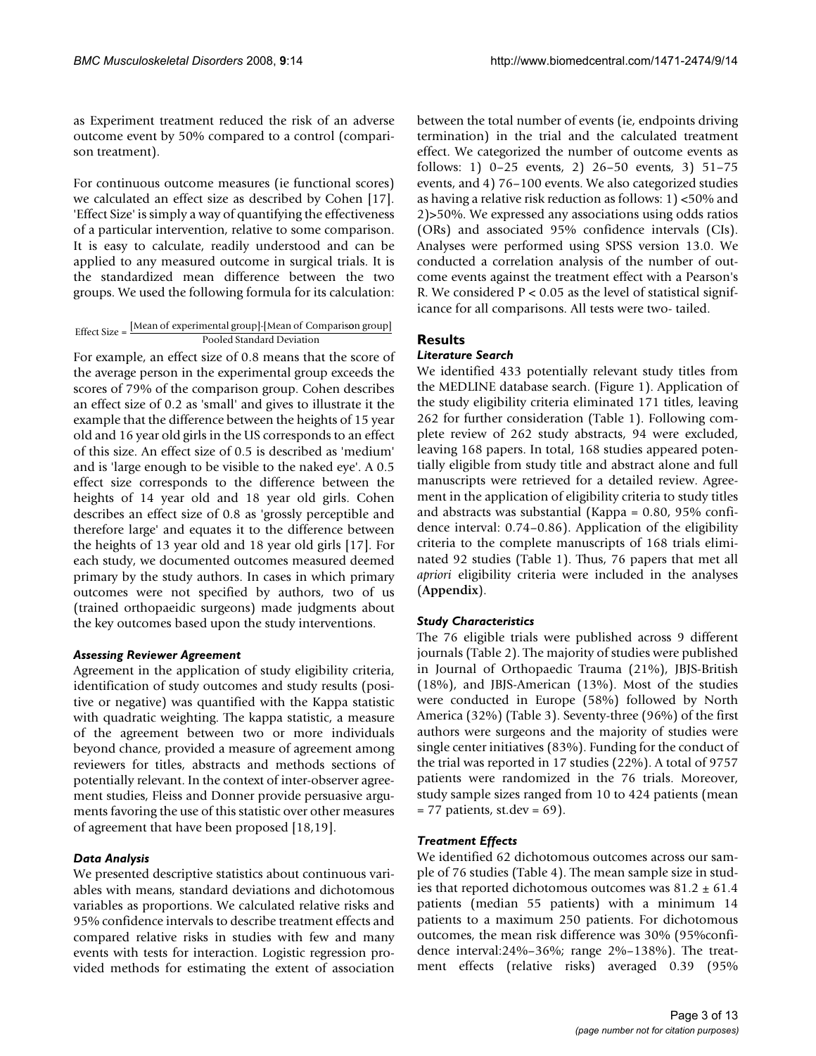as Experiment treatment reduced the risk of an adverse outcome event by 50% compared to a control (comparison treatment).

For continuous outcome measures (ie functional scores) we calculated an effect size as described by Cohen [17]. 'Effect Size' is simply a way of quantifying the effectiveness of a particular intervention, relative to some comparison. It is easy to calculate, readily understood and can be applied to any measured outcome in surgical trials. It is the standardized mean difference between the two groups. We used the following formula for its calculation:

#### Effect Size  $=$  [Mean of experimental group]-[Mean of Comparison group] Pooled Standard Deviation

For example, an effect size of 0.8 means that the score of the average person in the experimental group exceeds the scores of 79% of the comparison group. Cohen describes an effect size of 0.2 as 'small' and gives to illustrate it the example that the difference between the heights of 15 year old and 16 year old girls in the US corresponds to an effect of this size. An effect size of 0.5 is described as 'medium' and is 'large enough to be visible to the naked eye'. A 0.5 effect size corresponds to the difference between the heights of 14 year old and 18 year old girls. Cohen describes an effect size of 0.8 as 'grossly perceptible and therefore large' and equates it to the difference between the heights of 13 year old and 18 year old girls [17]. For each study, we documented outcomes measured deemed primary by the study authors. In cases in which primary outcomes were not specified by authors, two of us (trained orthopaeidic surgeons) made judgments about the key outcomes based upon the study interventions.

# *Assessing Reviewer Agreement*

Agreement in the application of study eligibility criteria, identification of study outcomes and study results (positive or negative) was quantified with the Kappa statistic with quadratic weighting. The kappa statistic, a measure of the agreement between two or more individuals beyond chance, provided a measure of agreement among reviewers for titles, abstracts and methods sections of potentially relevant. In the context of inter-observer agreement studies, Fleiss and Donner provide persuasive arguments favoring the use of this statistic over other measures of agreement that have been proposed [18,19].

# *Data Analysis*

We presented descriptive statistics about continuous variables with means, standard deviations and dichotomous variables as proportions. We calculated relative risks and 95% confidence intervals to describe treatment effects and compared relative risks in studies with few and many events with tests for interaction. Logistic regression provided methods for estimating the extent of association between the total number of events (ie, endpoints driving termination) in the trial and the calculated treatment effect. We categorized the number of outcome events as follows: 1) 0–25 events, 2) 26–50 events, 3) 51–75 events, and 4) 76–100 events. We also categorized studies as having a relative risk reduction as follows: 1) <50% and 2)>50%. We expressed any associations using odds ratios (ORs) and associated 95% confidence intervals (CIs). Analyses were performed using SPSS version 13.0. We conducted a correlation analysis of the number of outcome events against the treatment effect with a Pearson's R. We considered  $P < 0.05$  as the level of statistical significance for all comparisons. All tests were two- tailed.

# **Results**

# *Literature Search*

We identified 433 potentially relevant study titles from the MEDLINE database search. (Figure 1). Application of the study eligibility criteria eliminated 171 titles, leaving 262 for further consideration (Table 1). Following complete review of 262 study abstracts, 94 were excluded, leaving 168 papers. In total, 168 studies appeared potentially eligible from study title and abstract alone and full manuscripts were retrieved for a detailed review. Agreement in the application of eligibility criteria to study titles and abstracts was substantial (Kappa = 0.80, 95% confidence interval: 0.74–0.86). Application of the eligibility criteria to the complete manuscripts of 168 trials eliminated 92 studies (Table 1). Thus, 76 papers that met all *apriori* eligibility criteria were included in the analyses (**Appendix**).

# *Study Characteristics*

The 76 eligible trials were published across 9 different journals (Table 2). The majority of studies were published in Journal of Orthopaedic Trauma (21%), JBJS-British (18%), and JBJS-American (13%). Most of the studies were conducted in Europe (58%) followed by North America (32%) (Table 3). Seventy-three (96%) of the first authors were surgeons and the majority of studies were single center initiatives (83%). Funding for the conduct of the trial was reported in 17 studies (22%). A total of 9757 patients were randomized in the 76 trials. Moreover, study sample sizes ranged from 10 to 424 patients (mean  $= 77$  patients, st.dev  $= 69$ ).

# *Treatment Effects*

We identified 62 dichotomous outcomes across our sample of 76 studies (Table 4). The mean sample size in studies that reported dichotomous outcomes was  $81.2 \pm 61.4$ patients (median 55 patients) with a minimum 14 patients to a maximum 250 patients. For dichotomous outcomes, the mean risk difference was 30% (95%confidence interval:24%–36%; range 2%–138%). The treatment effects (relative risks) averaged 0.39 (95%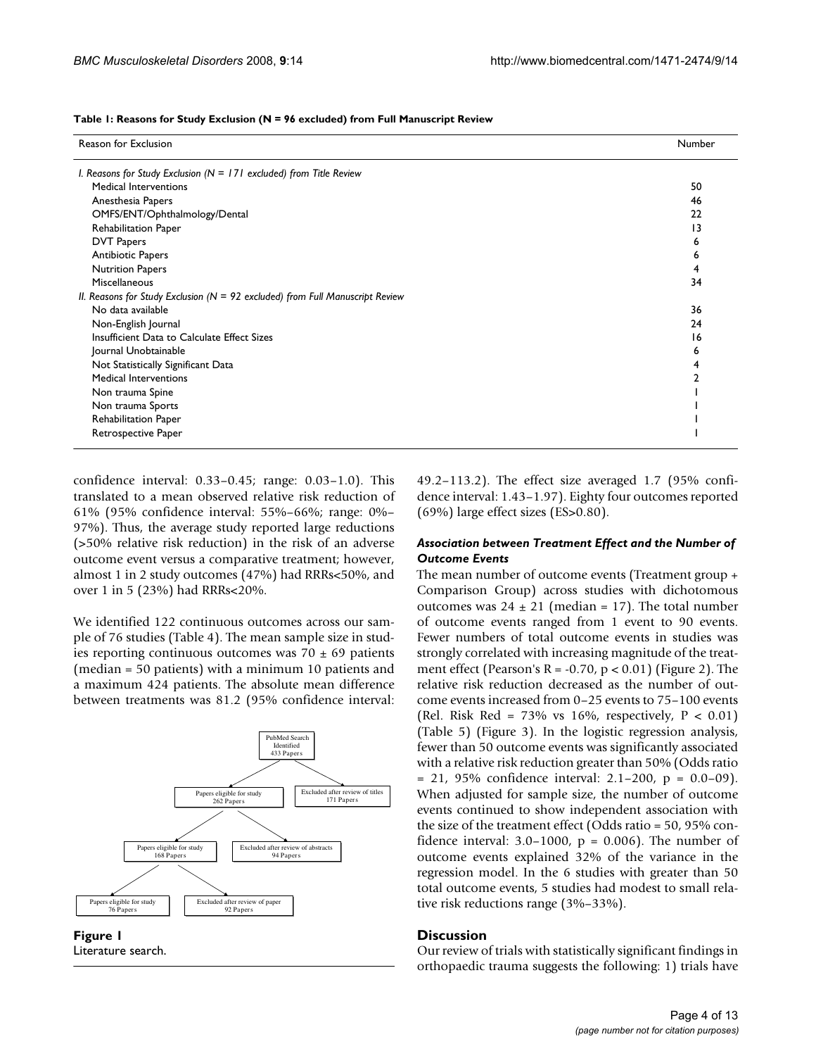| Table 1: Reasons for Study Exclusion (N = 96 excluded) from Full Manuscript Review |  |  |  |
|------------------------------------------------------------------------------------|--|--|--|
|------------------------------------------------------------------------------------|--|--|--|

| Reason for Exclusion                                                             |                 |  |  |
|----------------------------------------------------------------------------------|-----------------|--|--|
| I. Reasons for Study Exclusion ( $N = 171$ excluded) from Title Review           |                 |  |  |
| Medical Interventions                                                            | 50              |  |  |
| Anesthesia Papers                                                                | 46              |  |  |
| OMFS/ENT/Ophthalmology/Dental                                                    | 22              |  |  |
| Rehabilitation Paper                                                             | $\overline{13}$ |  |  |
| <b>DVT Papers</b>                                                                | ь               |  |  |
| Antibiotic Papers                                                                | ь               |  |  |
| <b>Nutrition Papers</b>                                                          |                 |  |  |
| Miscellaneous                                                                    | 34              |  |  |
| II. Reasons for Study Exclusion ( $N = 92$ excluded) from Full Manuscript Review |                 |  |  |
| No data available                                                                | 36              |  |  |
| Non-English Journal                                                              | 24              |  |  |
| Insufficient Data to Calculate Effect Sizes                                      | 16              |  |  |
| Journal Unobtainable                                                             | ь               |  |  |
| Not Statistically Significant Data                                               |                 |  |  |
| Medical Interventions                                                            |                 |  |  |
| Non trauma Spine                                                                 |                 |  |  |
| Non trauma Sports                                                                |                 |  |  |
| Rehabilitation Paper                                                             |                 |  |  |
| Retrospective Paper                                                              |                 |  |  |

confidence interval: 0.33–0.45; range: 0.03–1.0). This translated to a mean observed relative risk reduction of 61% (95% confidence interval: 55%–66%; range: 0%– 97%). Thus, the average study reported large reductions (>50% relative risk reduction) in the risk of an adverse outcome event versus a comparative treatment; however, almost 1 in 2 study outcomes (47%) had RRRs<50%, and over 1 in 5 (23%) had RRRs<20%.

We identified 122 continuous outcomes across our sample of 76 studies (Table 4). The mean sample size in studies reporting continuous outcomes was  $70 \pm 69$  patients (median = 50 patients) with a minimum 10 patients and a maximum 424 patients. The absolute mean difference between treatments was 81.2 (95% confidence interval:



**Figure 1** Literature search.

49.2–113.2). The effect size averaged 1.7 (95% confidence interval: 1.43–1.97). Eighty four outcomes reported (69%) large effect sizes (ES>0.80).

# *Association between Treatment Effect and the Number of Outcome Events*

The mean number of outcome events (Treatment group + Comparison Group) across studies with dichotomous outcomes was  $24 \pm 21$  (median = 17). The total number of outcome events ranged from 1 event to 90 events. Fewer numbers of total outcome events in studies was strongly correlated with increasing magnitude of the treatment effect (Pearson's  $R = -0.70$ ,  $p < 0.01$ ) (Figure 2). The relative risk reduction decreased as the number of outcome events increased from 0–25 events to 75–100 events (Rel. Risk Red =  $73\%$  vs 16%, respectively, P < 0.01) (Table 5) (Figure 3). In the logistic regression analysis, fewer than 50 outcome events was significantly associated with a relative risk reduction greater than 50% (Odds ratio  $= 21, 95\%$  confidence interval: 2.1–200, p = 0.0–09). When adjusted for sample size, the number of outcome events continued to show independent association with the size of the treatment effect (Odds ratio = 50, 95% confidence interval:  $3.0-1000$ ,  $p = 0.006$ ). The number of outcome events explained 32% of the variance in the regression model. In the 6 studies with greater than 50 total outcome events, 5 studies had modest to small relative risk reductions range (3%–33%).

# **Discussion**

Our review of trials with statistically significant findings in orthopaedic trauma suggests the following: 1) trials have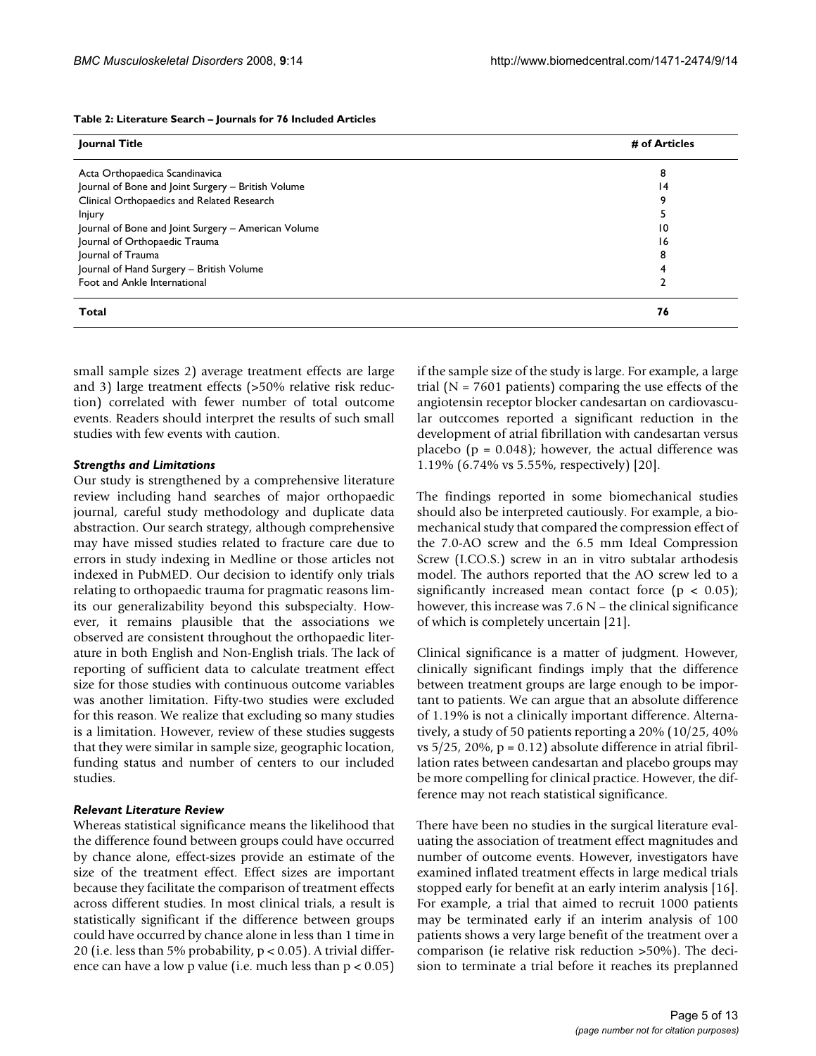#### **Table 2: Literature Search – Journals for 76 Included Articles**

| Journal Title                                       | # of Articles |  |  |
|-----------------------------------------------------|---------------|--|--|
|                                                     |               |  |  |
| Acta Orthopaedica Scandinavica                      | 8             |  |  |
| Journal of Bone and Joint Surgery - British Volume  | 14            |  |  |
| Clinical Orthopaedics and Related Research          | q             |  |  |
| <b>Injury</b>                                       |               |  |  |
| Journal of Bone and Joint Surgery - American Volume | 10            |  |  |
| Journal of Orthopaedic Trauma                       | 16            |  |  |
| Journal of Trauma                                   | 8             |  |  |
| Journal of Hand Surgery - British Volume            |               |  |  |
| Foot and Ankle International                        |               |  |  |
| Total                                               | 76            |  |  |

small sample sizes 2) average treatment effects are large and 3) large treatment effects (>50% relative risk reduction) correlated with fewer number of total outcome events. Readers should interpret the results of such small studies with few events with caution.

#### *Strengths and Limitations*

Our study is strengthened by a comprehensive literature review including hand searches of major orthopaedic journal, careful study methodology and duplicate data abstraction. Our search strategy, although comprehensive may have missed studies related to fracture care due to errors in study indexing in Medline or those articles not indexed in PubMED. Our decision to identify only trials relating to orthopaedic trauma for pragmatic reasons limits our generalizability beyond this subspecialty. However, it remains plausible that the associations we observed are consistent throughout the orthopaedic literature in both English and Non-English trials. The lack of reporting of sufficient data to calculate treatment effect size for those studies with continuous outcome variables was another limitation. Fifty-two studies were excluded for this reason. We realize that excluding so many studies is a limitation. However, review of these studies suggests that they were similar in sample size, geographic location, funding status and number of centers to our included studies.

#### *Relevant Literature Review*

Whereas statistical significance means the likelihood that the difference found between groups could have occurred by chance alone, effect-sizes provide an estimate of the size of the treatment effect. Effect sizes are important because they facilitate the comparison of treatment effects across different studies. In most clinical trials, a result is statistically significant if the difference between groups could have occurred by chance alone in less than 1 time in 20 (i.e. less than 5% probability, p < 0.05). A trivial difference can have a low p value (i.e. much less than  $p < 0.05$ ) if the sample size of the study is large. For example, a large trial ( $N = 7601$  patients) comparing the use effects of the angiotensin receptor blocker candesartan on cardiovascular outccomes reported a significant reduction in the development of atrial fibrillation with candesartan versus placebo ( $p = 0.048$ ); however, the actual difference was 1.19% (6.74% vs 5.55%, respectively) [20].

The findings reported in some biomechanical studies should also be interpreted cautiously. For example, a biomechanical study that compared the compression effect of the 7.0-AO screw and the 6.5 mm Ideal Compression Screw (I.CO.S.) screw in an in vitro subtalar arthodesis model. The authors reported that the AO screw led to a significantly increased mean contact force  $(p < 0.05)$ ; however, this increase was  $7.6$  N – the clinical significance of which is completely uncertain [21].

Clinical significance is a matter of judgment. However, clinically significant findings imply that the difference between treatment groups are large enough to be important to patients. We can argue that an absolute difference of 1.19% is not a clinically important difference. Alternatively, a study of 50 patients reporting a 20% (10/25, 40% vs  $5/25$ ,  $20\%$ ,  $p = 0.12$ ) absolute difference in atrial fibrillation rates between candesartan and placebo groups may be more compelling for clinical practice. However, the difference may not reach statistical significance.

There have been no studies in the surgical literature evaluating the association of treatment effect magnitudes and number of outcome events. However, investigators have examined inflated treatment effects in large medical trials stopped early for benefit at an early interim analysis [16]. For example, a trial that aimed to recruit 1000 patients may be terminated early if an interim analysis of 100 patients shows a very large benefit of the treatment over a comparison (ie relative risk reduction >50%). The decision to terminate a trial before it reaches its preplanned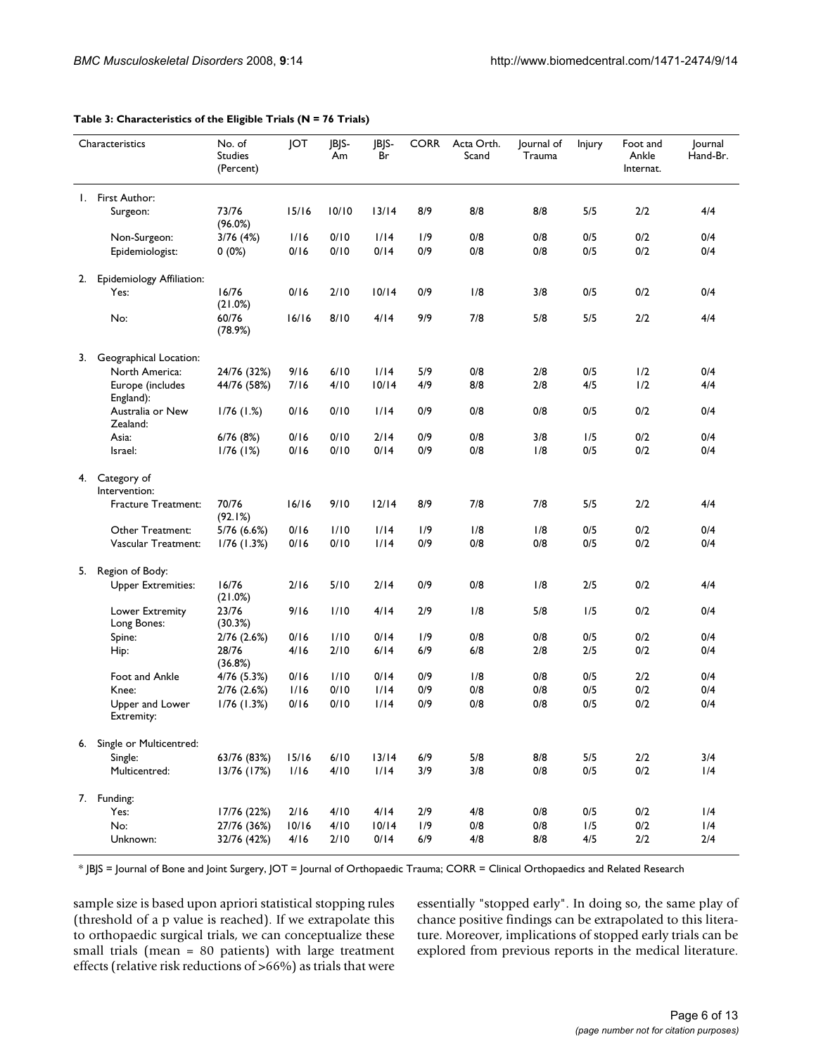|    | Characteristics                | No. of<br><b>Studies</b><br>(Percent) | JOT   | JBJS-<br>Am | IBIS-<br>Br | <b>CORR</b> | Acta Orth.<br>Scand | Journal of<br>Trauma | <b>Injury</b> | Foot and<br>Ankle<br>Internat. | Journal<br>Hand-Br. |
|----|--------------------------------|---------------------------------------|-------|-------------|-------------|-------------|---------------------|----------------------|---------------|--------------------------------|---------------------|
| Ι. | First Author:                  |                                       |       |             |             |             |                     |                      |               |                                |                     |
|    | Surgeon:                       | 73/76<br>(96.0%)                      | 15/16 | 10/10       | 13/14       | 8/9         | 8/8                 | 8/8                  | 5/5           | 2/2                            | 4/4                 |
|    | Non-Surgeon:                   | 3/76 (4%)                             | 1/16  | 0/10        | 1/14        | 1/9         | 0/8                 | 0/8                  | 0/5           | 0/2                            | 0/4                 |
|    | Epidemiologist:                | $0(0\%)$                              | 0/16  | 0/10        | 0/14        | 0/9         | 0/8                 | 0/8                  | 0/5           | 0/2                            | 0/4                 |
| 2. | Epidemiology Affiliation:      |                                       |       |             |             |             |                     |                      |               |                                |                     |
|    | Yes:                           | 16/76<br>(21.0%)                      | 0/16  | 2/10        | 10/14       | 0/9         | 1/8                 | 3/8                  | 0/5           | 0/2                            | 0/4                 |
|    | No:                            | 60/76<br>(78.9%)                      | 16/16 | 8/10        | 4/14        | 9/9         | 7/8                 | 5/8                  | 5/5           | 2/2                            | 4/4                 |
| 3. | Geographical Location:         |                                       |       |             |             |             |                     |                      |               |                                |                     |
|    | North America:                 | 24/76 (32%)                           | 9/16  | 6/10        | 1/14        | 5/9         | 0/8                 | 2/8                  | 0/5           | 1/2                            | 0/4                 |
|    | Europe (includes<br>England):  | 44/76 (58%)                           | 7/16  | 4/10        | 10/14       | 4/9         | 8/8                 | 2/8                  | 4/5           | 1/2                            | 4/4                 |
|    | Australia or New<br>Zealand:   | $1/76$ (1.%)                          | 0/16  | 0/10        | 1/14        | 0/9         | 0/8                 | 0/8                  | 0/5           | 0/2                            | 0/4                 |
|    | Asia:                          | 6/76 (8%)                             | 0/16  | 0/10        | 2/14        | 0/9         | 0/8                 | 3/8                  | 1/5           | 0/2                            | 0/4                 |
|    | Israel:                        | $1/76$ (1%)                           | 0/16  | 0/10        | 0/14        | 0/9         | 0/8                 | 1/8                  | 0/5           | 0/2                            | 0/4                 |
| 4. | Category of<br>Intervention:   |                                       |       |             |             |             |                     |                      |               |                                |                     |
|    | Fracture Treatment:            | 70/76<br>(92.1%)                      | 16/16 | 9/10        | 12/14       | 8/9         | 7/8                 | 7/8                  | 5/5           | 2/2                            | 4/4                 |
|    | Other Treatment:               | 5/76 (6.6%)                           | 0/16  | 1/10        | 1/14        | 1/9         | 1/8                 | 1/8                  | 0/5           | 0/2                            | 0/4                 |
|    | Vascular Treatment:            | $1/76$ (1.3%)                         | 0/16  | 0/10        | 1/14        | 0/9         | 0/8                 | 0/8                  | 0/5           | 0/2                            | 0/4                 |
| 5. | Region of Body:                |                                       |       |             |             |             |                     |                      |               |                                |                     |
|    | <b>Upper Extremities:</b>      | 16/76<br>(21.0%)                      | 2/16  | 5/10        | 2/14        | 0/9         | 0/8                 | 1/8                  | 2/5           | 0/2                            | 4/4                 |
|    | Lower Extremity<br>Long Bones: | 23/76<br>(30.3%)                      | 9/16  | 1/10        | 4/14        | 2/9         | 1/8                 | 5/8                  | 1/5           | 0/2                            | 0/4                 |
|    | Spine:                         | $2/76$ $(2.6%)$                       | 0/16  | 1/10        | 0/14        | 1/9         | 0/8                 | 0/8                  | 0/5           | 0/2                            | 0/4                 |
|    | Hip:                           | 28/76<br>(36.8%)                      | 4/16  | 2/10        | 6/14        | 6/9         | 6/8                 | 2/8                  | 2/5           | 0/2                            | 0/4                 |
|    | Foot and Ankle                 | 4/76 (5.3%)                           | 0/16  | 1/10        | 0/14        | 0/9         | 1/8                 | 0/8                  | 0/5           | 2/2                            | 0/4                 |
|    | Knee:                          | $2/76$ (2.6%)                         | 1/16  | 0/10        | 1/14        | 0/9         | 0/8                 | 0/8                  | 0/5           | 0/2                            | 0/4                 |
|    | Upper and Lower<br>Extremity:  | $1/76$ (1.3%)                         | 0/16  | 0/10        | 1/14        | 0/9         | 0/8                 | 0/8                  | 0/5           | 0/2                            | 0/4                 |
|    | 6. Single or Multicentred:     |                                       |       |             |             |             |                     |                      |               |                                |                     |
|    | Single:                        | 63/76 (83%)                           | 15/16 | 6/10        | 13/14       | 6/9         | 5/8                 | 8/8                  | 5/5           | 2/2                            | 3/4                 |
|    | Multicentred:                  | 13/76 (17%)                           | 1/16  | 4/10        | 1/14        | 3/9         | 3/8                 | $0/8$                | 0/5           | 0/2                            | 1/4                 |
|    | 7. Funding:                    |                                       |       |             |             |             |                     |                      |               |                                |                     |
|    | Yes:                           | 17/76 (22%)                           | 2/16  | 4/10        | 4/14        | 2/9         | 4/8                 | 0/8                  | 0/5           | 0/2                            | 1/4                 |
|    | No:                            | 27/76 (36%)                           | 10/16 | 4/10        | 10/14       | 1/9         | 0/8                 | 0/8                  | 1/5           | 0/2                            | 1/4                 |
|    | Unknown:                       | 32/76 (42%)                           | 4/16  | 2/10        | 0/14        | 6/9         | 4/8                 | 8/8                  | 4/5           | $2/2$                          | 2/4                 |

#### **Table 3: Characteristics of the Eligible Trials (N = 76 Trials)**

\* JBJS = Journal of Bone and Joint Surgery, JOT = Journal of Orthopaedic Trauma; CORR = Clinical Orthopaedics and Related Research

sample size is based upon apriori statistical stopping rules (threshold of a p value is reached). If we extrapolate this to orthopaedic surgical trials, we can conceptualize these small trials (mean = 80 patients) with large treatment effects (relative risk reductions of >66%) as trials that were essentially "stopped early". In doing so, the same play of chance positive findings can be extrapolated to this literature. Moreover, implications of stopped early trials can be explored from previous reports in the medical literature.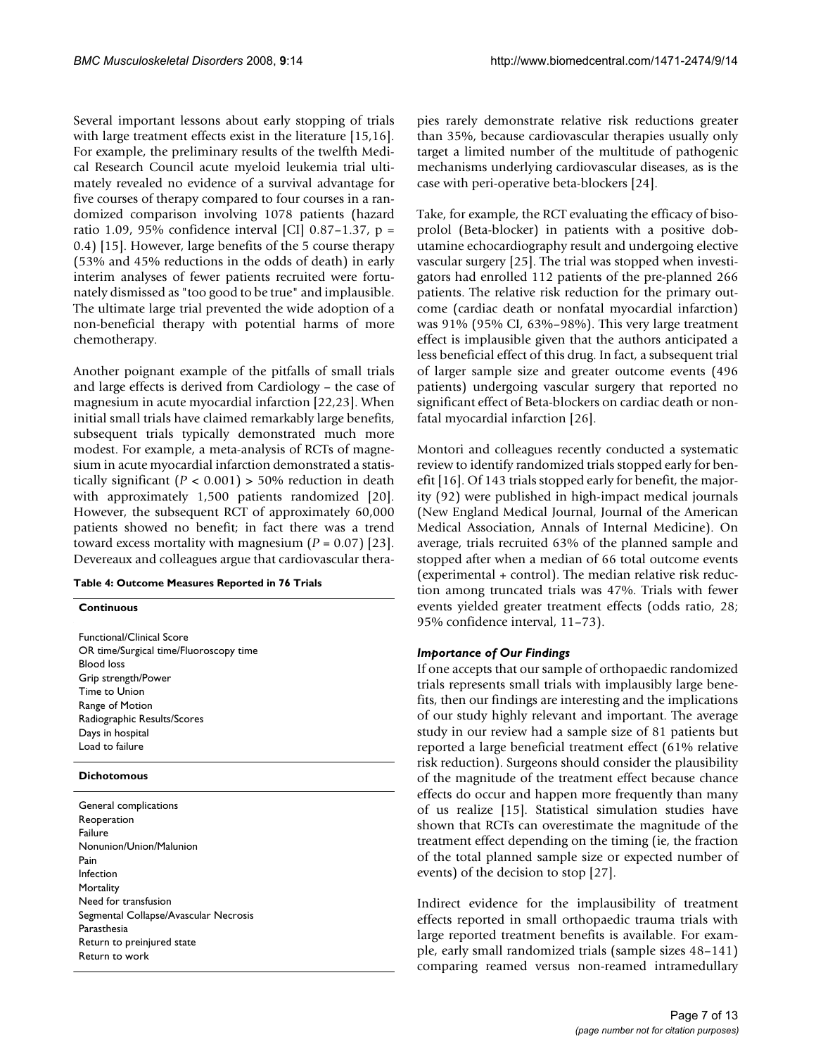Several important lessons about early stopping of trials with large treatment effects exist in the literature [15,16]. For example, the preliminary results of the twelfth Medical Research Council acute myeloid leukemia trial ultimately revealed no evidence of a survival advantage for five courses of therapy compared to four courses in a randomized comparison involving 1078 patients (hazard ratio 1.09, 95% confidence interval [CI] 0.87–1.37,  $p =$ 0.4) [15]. However, large benefits of the 5 course therapy (53% and 45% reductions in the odds of death) in early interim analyses of fewer patients recruited were fortunately dismissed as "too good to be true" and implausible. The ultimate large trial prevented the wide adoption of a non-beneficial therapy with potential harms of more chemotherapy.

Another poignant example of the pitfalls of small trials and large effects is derived from Cardiology – the case of magnesium in acute myocardial infarction [22,23]. When initial small trials have claimed remarkably large benefits, subsequent trials typically demonstrated much more modest. For example, a meta-analysis of RCTs of magnesium in acute myocardial infarction demonstrated a statistically significant  $(P < 0.001) > 50\%$  reduction in death with approximately 1,500 patients randomized [20]. However, the subsequent RCT of approximately 60,000 patients showed no benefit; in fact there was a trend toward excess mortality with magnesium (*P* = 0.07) [23]. Devereaux and colleagues argue that cardiovascular thera-

#### **Table 4: Outcome Measures Reported in 76 Trials**

**Continuous**

Functional/Clinical Score OR time/Surgical time/Fluoroscopy time Blood loss Grip strength/Power Time to Union Range of Motion Radiographic Results/Scores Days in hospital Load to failure

#### **Dichotomous**

General complications Reoperation Failure Nonunion/Union/Malunion Pain Infection **Mortality** Need for transfusion Segmental Collapse/Avascular Necrosis Parasthesia Return to preinjured state Return to work

pies rarely demonstrate relative risk reductions greater than 35%, because cardiovascular therapies usually only target a limited number of the multitude of pathogenic mechanisms underlying cardiovascular diseases, as is the case with peri-operative beta-blockers [24].

Take, for example, the RCT evaluating the efficacy of bisoprolol (Beta-blocker) in patients with a positive dobutamine echocardiography result and undergoing elective vascular surgery [25]. The trial was stopped when investigators had enrolled 112 patients of the pre-planned 266 patients. The relative risk reduction for the primary outcome (cardiac death or nonfatal myocardial infarction) was 91% (95% CI, 63%–98%). This very large treatment effect is implausible given that the authors anticipated a less beneficial effect of this drug. In fact, a subsequent trial of larger sample size and greater outcome events (496 patients) undergoing vascular surgery that reported no significant effect of Beta-blockers on cardiac death or nonfatal myocardial infarction [26].

Montori and colleagues recently conducted a systematic review to identify randomized trials stopped early for benefit [16]. Of 143 trials stopped early for benefit, the majority (92) were published in high-impact medical journals (New England Medical Journal, Journal of the American Medical Association, Annals of Internal Medicine). On average, trials recruited 63% of the planned sample and stopped after when a median of 66 total outcome events (experimental + control). The median relative risk reduction among truncated trials was 47%. Trials with fewer events yielded greater treatment effects (odds ratio, 28; 95% confidence interval, 11–73).

# *Importance of Our Findings*

If one accepts that our sample of orthopaedic randomized trials represents small trials with implausibly large benefits, then our findings are interesting and the implications of our study highly relevant and important. The average study in our review had a sample size of 81 patients but reported a large beneficial treatment effect (61% relative risk reduction). Surgeons should consider the plausibility of the magnitude of the treatment effect because chance effects do occur and happen more frequently than many of us realize [15]. Statistical simulation studies have shown that RCTs can overestimate the magnitude of the treatment effect depending on the timing (ie, the fraction of the total planned sample size or expected number of events) of the decision to stop [27].

Indirect evidence for the implausibility of treatment effects reported in small orthopaedic trauma trials with large reported treatment benefits is available. For example, early small randomized trials (sample sizes 48–141) comparing reamed versus non-reamed intramedullary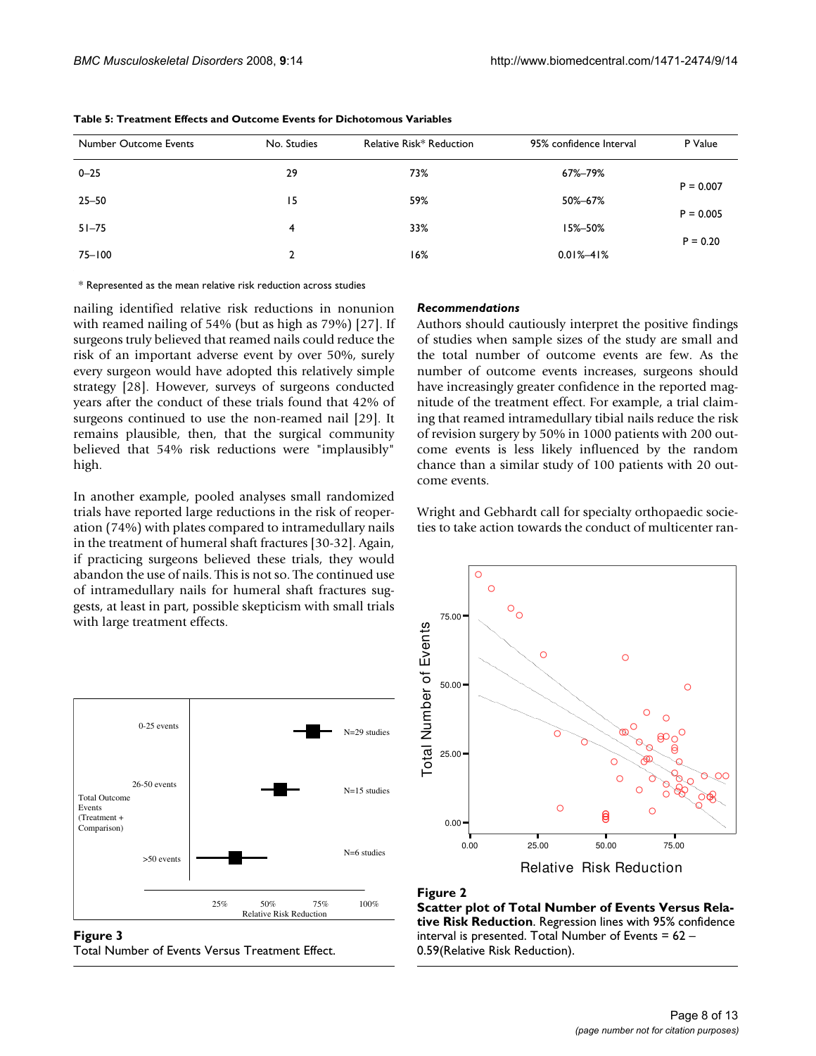| Number Outcome Events | No. Studies | Relative Risk* Reduction | 95% confidence Interval | P Value     |
|-----------------------|-------------|--------------------------|-------------------------|-------------|
| $0 - 25$              | 29          | 73%                      | 67%-79%                 | $P = 0.007$ |
| 25–50                 | 15          | 59%                      | 50%-67%                 |             |
| $51 - 75$             | 4           | 33%                      | 15%-50%                 | $P = 0.005$ |
| 75-100                | 2           | 16%                      | $0.01\% - 41\%$         | $P = 0.20$  |

**Table 5: Treatment Effects and Outcome Events for Dichotomous Variables**

\* Represented as the mean relative risk reduction across studies

nailing identified relative risk reductions in nonunion with reamed nailing of 54% (but as high as 79%) [27]. If surgeons truly believed that reamed nails could reduce the risk of an important adverse event by over 50%, surely every surgeon would have adopted this relatively simple strategy [28]. However, surveys of surgeons conducted years after the conduct of these trials found that 42% of surgeons continued to use the non-reamed nail [29]. It remains plausible, then, that the surgical community believed that 54% risk reductions were "implausibly" high.

In another example, pooled analyses small randomized trials have reported large reductions in the risk of reoperation (74%) with plates compared to intramedullary nails in the treatment of humeral shaft fractures [30-32]. Again, if practicing surgeons believed these trials, they would abandon the use of nails. This is not so. The continued use of intramedullary nails for humeral shaft fractures suggests, at least in part, possible skepticism with small trials with large treatment effects.



Figure 3 Total Number of Events Versus Treatment Effect.

#### *Recommendations*

Authors should cautiously interpret the positive findings of studies when sample sizes of the study are small and the total number of outcome events are few. As the number of outcome events increases, surgeons should have increasingly greater confidence in the reported magnitude of the treatment effect. For example, a trial claiming that reamed intramedullary tibial nails reduce the risk of revision surgery by 50% in 1000 patients with 200 outcome events is less likely influenced by the random chance than a similar study of 100 patients with 20 outcome events.

Wright and Gebhardt call for specialty orthopaedic societies to take action towards the conduct of multicenter ran-



#### **Figure 2**

**Scatter plot of Total Number of Events Versus Relative Risk Reduction**. Regression lines with 95% confidence interval is presented. Total Number of Events =  $62 -$ 0.59(Relative Risk Reduction).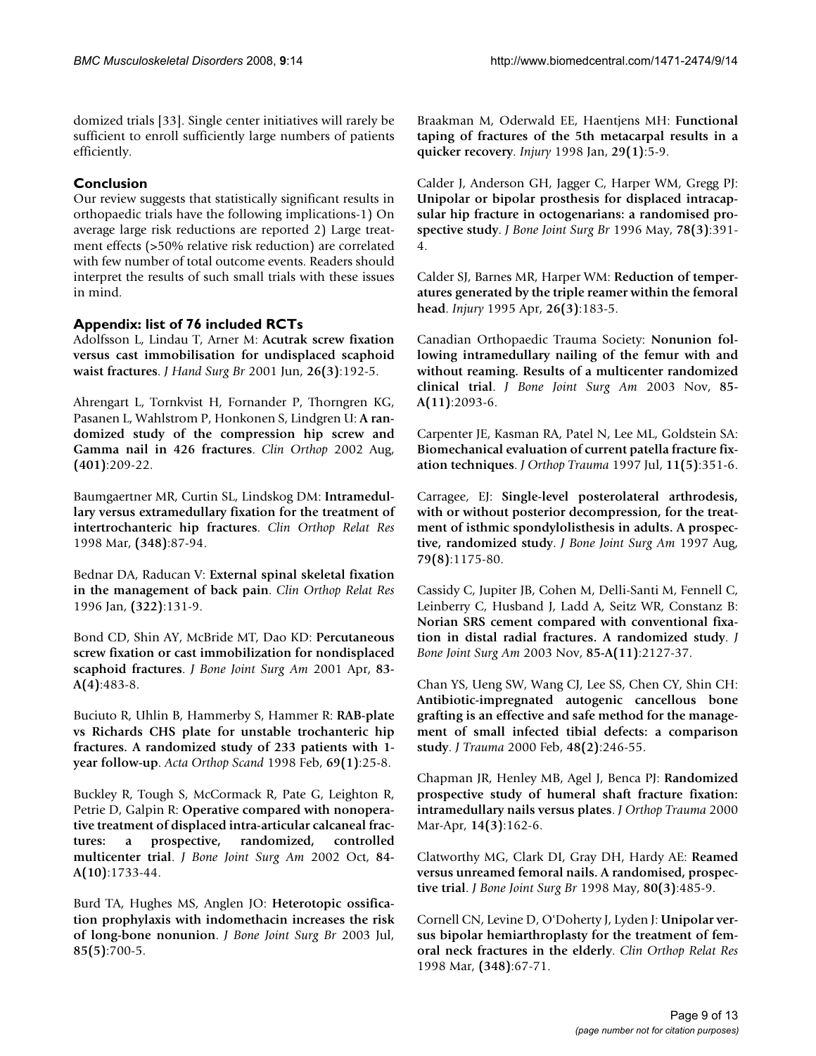domized trials [33]. Single center initiatives will rarely be sufficient to enroll sufficiently large numbers of patients efficiently.

# **Conclusion**

Our review suggests that statistically significant results in orthopaedic trials have the following implications-1) On average large risk reductions are reported 2) Large treatment effects (>50% relative risk reduction) are correlated with few number of total outcome events. Readers should interpret the results of such small trials with these issues in mind.

# **Appendix: list of 76 included RCTs**

Adolfsson L, Lindau T, Arner M: **Acutrak screw fixation versus cast immobilisation for undisplaced scaphoid waist fractures**. *J Hand Surg Br* 2001 Jun, **26(3)**:192-5.

Ahrengart L, Tornkvist H, Fornander P, Thorngren KG, Pasanen L, Wahlstrom P, Honkonen S, Lindgren U: **A randomized study of the compression hip screw and Gamma nail in 426 fractures**. *Clin Orthop* 2002 Aug, **(401)**:209-22.

Baumgaertner MR, Curtin SL, Lindskog DM: **Intramedullary versus extramedullary fixation for the treatment of intertrochanteric hip fractures**. *Clin Orthop Relat Res* 1998 Mar, **(348)**:87-94.

Bednar DA, Raducan V: **External spinal skeletal fixation in the management of back pain**. *Clin Orthop Relat Res* 1996 Jan, **(322)**:131-9.

Bond CD, Shin AY, McBride MT, Dao KD: **Percutaneous screw fixation or cast immobilization for nondisplaced scaphoid fractures**. *J Bone Joint Surg Am* 2001 Apr, **83- A(4)**:483-8.

Buciuto R, Uhlin B, Hammerby S, Hammer R: **RAB-plate vs Richards CHS plate for unstable trochanteric hip fractures. A randomized study of 233 patients with 1 year follow-up**. *Acta Orthop Scand* 1998 Feb, **69(1)**:25-8.

Buckley R, Tough S, McCormack R, Pate G, Leighton R, Petrie D, Galpin R: **Operative compared with nonoperative treatment of displaced intra-articular calcaneal fractures: a prospective, randomized, controlled multicenter trial**. *J Bone Joint Surg Am* 2002 Oct, **84- A(10)**:1733-44.

Burd TA, Hughes MS, Anglen JO: **Heterotopic ossification prophylaxis with indomethacin increases the risk of long-bone nonunion**. *J Bone Joint Surg Br* 2003 Jul, **85(5)**:700-5.

Braakman M, Oderwald EE, Haentjens MH: **Functional taping of fractures of the 5th metacarpal results in a quicker recovery**. *Injury* 1998 Jan, **29(1)**:5-9.

Calder J, Anderson GH, Jagger C, Harper WM, Gregg PJ: **Unipolar or bipolar prosthesis for displaced intracapsular hip fracture in octogenarians: a randomised prospective study**. *J Bone Joint Surg Br* 1996 May, **78(3)**:391- 4.

Calder SJ, Barnes MR, Harper WM: **Reduction of temperatures generated by the triple reamer within the femoral head**. *Injury* 1995 Apr, **26(3)**:183-5.

Canadian Orthopaedic Trauma Society: **Nonunion following intramedullary nailing of the femur with and without reaming. Results of a multicenter randomized clinical trial**. *J Bone Joint Surg Am* 2003 Nov, **85- A(11)**:2093-6.

Carpenter JE, Kasman RA, Patel N, Lee ML, Goldstein SA: **Biomechanical evaluation of current patella fracture fixation techniques**. *J Orthop Trauma* 1997 Jul, **11(5)**:351-6.

Carragee, EJ: **Single-level posterolateral arthrodesis, with or without posterior decompression, for the treatment of isthmic spondylolisthesis in adults. A prospective, randomized study**. *J Bone Joint Surg Am* 1997 Aug, **79(8)**:1175-80.

Cassidy C, Jupiter JB, Cohen M, Delli-Santi M, Fennell C, Leinberry C, Husband J, Ladd A, Seitz WR, Constanz B: **Norian SRS cement compared with conventional fixation in distal radial fractures. A randomized study**. *J Bone Joint Surg Am* 2003 Nov, **85-A(11)**:2127-37.

Chan YS, Ueng SW, Wang CJ, Lee SS, Chen CY, Shin CH: **Antibiotic-impregnated autogenic cancellous bone grafting is an effective and safe method for the management of small infected tibial defects: a comparison study**. *J Trauma* 2000 Feb, **48(2)**:246-55.

Chapman JR, Henley MB, Agel J, Benca PJ: **Randomized prospective study of humeral shaft fracture fixation: intramedullary nails versus plates**. *J Orthop Trauma* 2000 Mar-Apr, **14(3)**:162-6.

Clatworthy MG, Clark DI, Gray DH, Hardy AE: **Reamed versus unreamed femoral nails. A randomised, prospective trial**. *J Bone Joint Surg Br* 1998 May, **80(3)**:485-9.

Cornell CN, Levine D, O'Doherty J, Lyden J: **Unipolar versus bipolar hemiarthroplasty for the treatment of femoral neck fractures in the elderly**. *Clin Orthop Relat Res* 1998 Mar, **(348)**:67-71.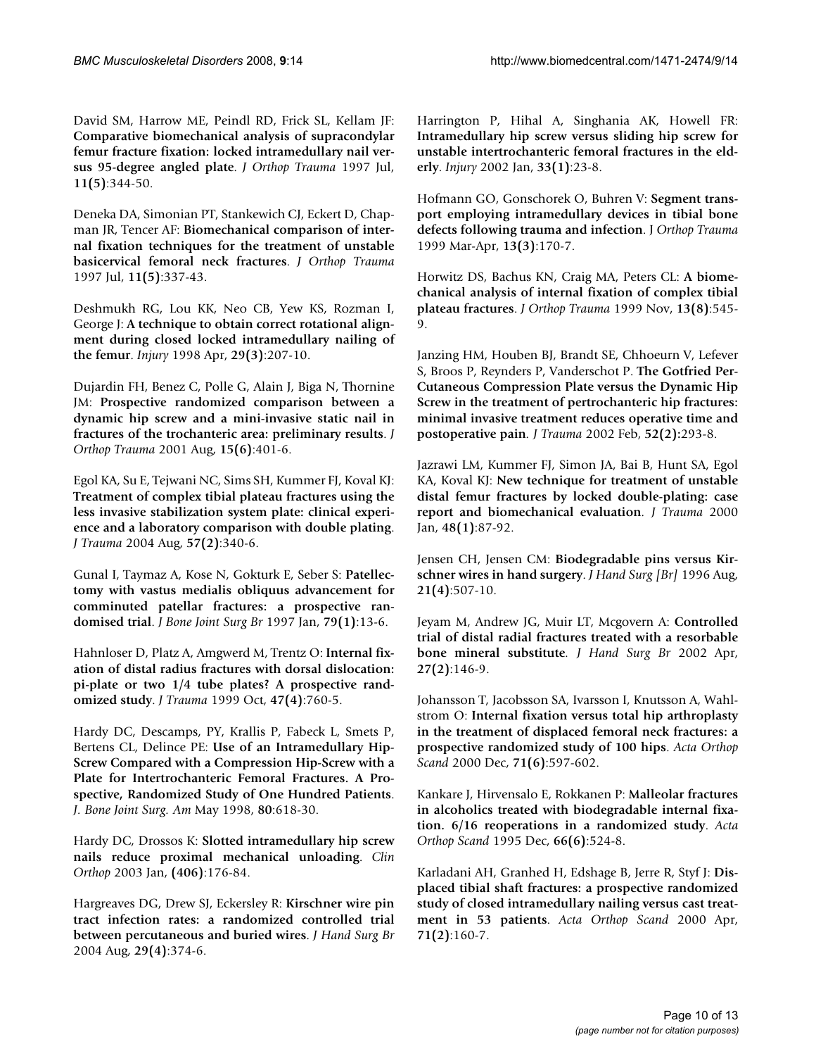David SM, Harrow ME, Peindl RD, Frick SL, Kellam JF: **Comparative biomechanical analysis of supracondylar femur fracture fixation: locked intramedullary nail versus 95-degree angled plate**. *J Orthop Trauma* 1997 Jul, **11(5)**:344-50.

Deneka DA, Simonian PT, Stankewich CJ, Eckert D, Chapman JR, Tencer AF: **Biomechanical comparison of internal fixation techniques for the treatment of unstable basicervical femoral neck fractures**. *J Orthop Trauma* 1997 Jul, **11(5)**:337-43.

Deshmukh RG, Lou KK, Neo CB, Yew KS, Rozman I, George J: **A technique to obtain correct rotational alignment during closed locked intramedullary nailing of the femur**. *Injury* 1998 Apr, **29(3)**:207-10.

Dujardin FH, Benez C, Polle G, Alain J, Biga N, Thornine JM: **Prospective randomized comparison between a dynamic hip screw and a mini-invasive static nail in fractures of the trochanteric area: preliminary results**. *J Orthop Trauma* 2001 Aug, **15(6)**:401-6.

Egol KA, Su E, Tejwani NC, Sims SH, Kummer FJ, Koval KJ: **Treatment of complex tibial plateau fractures using the less invasive stabilization system plate: clinical experience and a laboratory comparison with double plating**. *J Trauma* 2004 Aug, **57(2)**:340-6.

Gunal I, Taymaz A, Kose N, Gokturk E, Seber S: **Patellectomy with vastus medialis obliquus advancement for comminuted patellar fractures: a prospective randomised trial**. *J Bone Joint Surg Br* 1997 Jan, **79(1)**:13-6.

Hahnloser D, Platz A, Amgwerd M, Trentz O: **Internal fixation of distal radius fractures with dorsal dislocation: pi-plate or two 1/4 tube plates? A prospective randomized study**. *J Trauma* 1999 Oct, **47(4)**:760-5.

Hardy DC, Descamps, PY, Krallis P, Fabeck L, Smets P, Bertens CL, Delince PE: **Use of an Intramedullary Hip-Screw Compared with a Compression Hip-Screw with a Plate for Intertrochanteric Femoral Fractures. A Prospective, Randomized Study of One Hundred Patients**. *J. Bone Joint Surg. Am* May 1998, **80**:618-30.

Hardy DC, Drossos K: **Slotted intramedullary hip screw nails reduce proximal mechanical unloading**. *Clin Orthop* 2003 Jan, **(406)**:176-84.

Hargreaves DG, Drew SJ, Eckersley R: **Kirschner wire pin tract infection rates: a randomized controlled trial between percutaneous and buried wires**. *J Hand Surg Br* 2004 Aug, **29(4)**:374-6.

Harrington P, Hihal A, Singhania AK, Howell FR: **Intramedullary hip screw versus sliding hip screw for unstable intertrochanteric femoral fractures in the elderly**. *Injury* 2002 Jan, **33(1)**:23-8.

Hofmann GO, Gonschorek O, Buhren V: **Segment transport employing intramedullary devices in tibial bone defects following trauma and infection**. J *Orthop Trauma* 1999 Mar-Apr, **13(3)**:170-7.

Horwitz DS, Bachus KN, Craig MA, Peters CL: **A biomechanical analysis of internal fixation of complex tibial plateau fractures**. *J Orthop Trauma* 1999 Nov, **13(8)**:545- 9.

Janzing HM, Houben BJ, Brandt SE, Chhoeurn V, Lefever S, Broos P, Reynders P, Vanderschot P. **The Gotfried Per-Cutaneous Compression Plate versus the Dynamic Hip Screw in the treatment of pertrochanteric hip fractures: minimal invasive treatment reduces operative time and postoperative pain***. J Trauma* 2002 Feb, **52(2):**293-8.

Jazrawi LM, Kummer FJ, Simon JA, Bai B, Hunt SA, Egol KA, Koval KJ: **New technique for treatment of unstable distal femur fractures by locked double-plating: case report and biomechanical evaluation***. J Trauma* 2000 Jan, **48(1)**:87-92.

Jensen CH, Jensen CM: **Biodegradable pins versus Kirschner wires in hand surgery**. *J Hand Surg [Br]* 1996 Aug, **21(4)**:507-10.

Jeyam M, Andrew JG, Muir LT, Mcgovern A: **Controlled trial of distal radial fractures treated with a resorbable bone mineral substitute***. J Hand Surg Br* 2002 Apr, **27(2)**:146-9.

Johansson T, Jacobsson SA, Ivarsson I, Knutsson A, Wahlstrom O: **Internal fixation versus total hip arthroplasty in the treatment of displaced femoral neck fractures: a prospective randomized study of 100 hips**. *Acta Orthop Scand* 2000 Dec, **71(6)**:597-602.

Kankare J, Hirvensalo E, Rokkanen P: **Malleolar fractures in alcoholics treated with biodegradable internal fixation. 6/16 reoperations in a randomized study**. *Acta Orthop Scand* 1995 Dec, **66(6)**:524-8.

Karladani AH, Granhed H, Edshage B, Jerre R, Styf J: **Displaced tibial shaft fractures: a prospective randomized study of closed intramedullary nailing versus cast treatment in 53 patients**. *Acta Orthop Scand* 2000 Apr, **71(2)**:160-7.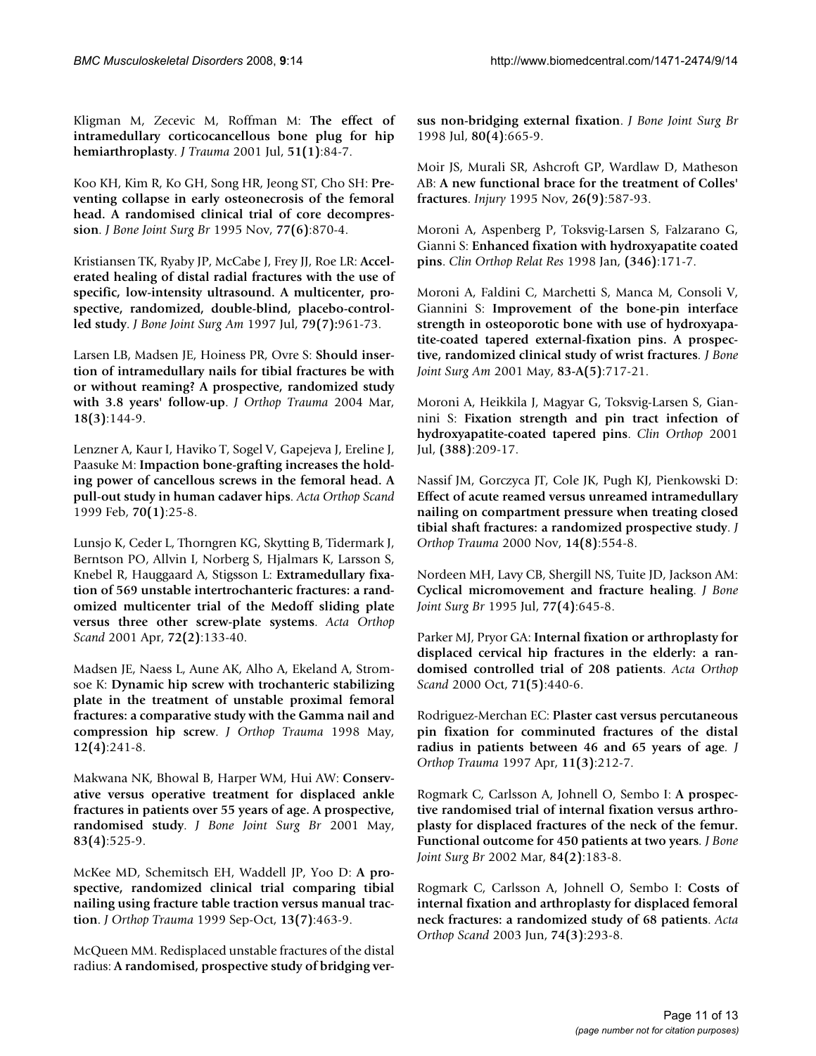Kligman M, Zecevic M, Roffman M: **The effect of intramedullary corticocancellous bone plug for hip hemiarthroplasty**. *J Trauma* 2001 Jul, **51(1)**:84-7.

Koo KH, Kim R, Ko GH, Song HR, Jeong ST, Cho SH: **Preventing collapse in early osteonecrosis of the femoral head. A randomised clinical trial of core decompression**. *J Bone Joint Surg Br* 1995 Nov, **77(6)**:870-4.

Kristiansen TK, Ryaby JP, McCabe J, Frey JJ, Roe LR: **Accelerated healing of distal radial fractures with the use of specific, low-intensity ultrasound. A multicenter, prospective, randomized, double-blind, placebo-controlled study**. *J Bone Joint Surg Am* 1997 Jul, **79(7):**961-73.

Larsen LB, Madsen JE, Hoiness PR, Ovre S: **Should insertion of intramedullary nails for tibial fractures be with or without reaming? A prospective, randomized study with 3.8 years' follow-up**. *J Orthop Trauma* 2004 Mar, **18(3)**:144-9.

Lenzner A, Kaur I, Haviko T, Sogel V, Gapejeva J, Ereline J, Paasuke M: **Impaction bone-grafting increases the holding power of cancellous screws in the femoral head. A pull-out study in human cadaver hips**. *Acta Orthop Scand* 1999 Feb, **70(1)**:25-8.

Lunsjo K, Ceder L, Thorngren KG, Skytting B, Tidermark J, Berntson PO, Allvin I, Norberg S, Hjalmars K, Larsson S, Knebel R, Hauggaard A, Stigsson L: **Extramedullary fixation of 569 unstable intertrochanteric fractures: a randomized multicenter trial of the Medoff sliding plate versus three other screw-plate systems**. *Acta Orthop Scand* 2001 Apr, **72(2)**:133-40.

Madsen JE, Naess L, Aune AK, Alho A, Ekeland A, Stromsoe K: **Dynamic hip screw with trochanteric stabilizing plate in the treatment of unstable proximal femoral fractures: a comparative study with the Gamma nail and compression hip screw**. *J Orthop Trauma* 1998 May, **12(4)**:241-8.

Makwana NK, Bhowal B, Harper WM, Hui AW: **Conservative versus operative treatment for displaced ankle fractures in patients over 55 years of age. A prospective, randomised study**. *J Bone Joint Surg Br* 2001 May, **83(4)**:525-9.

McKee MD, Schemitsch EH, Waddell JP, Yoo D: **A prospective, randomized clinical trial comparing tibial nailing using fracture table traction versus manual traction**. *J Orthop Trauma* 1999 Sep-Oct, **13(7)**:463-9.

McQueen MM. Redisplaced unstable fractures of the distal radius: **A randomised, prospective study of bridging ver-** **sus non-bridging external fixation**. *J Bone Joint Surg Br* 1998 Jul, **80(4)**:665-9.

Moir JS, Murali SR, Ashcroft GP, Wardlaw D, Matheson AB: **A new functional brace for the treatment of Colles' fractures**. *Injury* 1995 Nov, **26(9)**:587-93.

Moroni A, Aspenberg P, Toksvig-Larsen S, Falzarano G, Gianni S: **Enhanced fixation with hydroxyapatite coated pins**. *Clin Orthop Relat Res* 1998 Jan, **(346)**:171-7.

Moroni A, Faldini C, Marchetti S, Manca M, Consoli V, Giannini S: **Improvement of the bone-pin interface strength in osteoporotic bone with use of hydroxyapatite-coated tapered external-fixation pins. A prospective, randomized clinical study of wrist fractures***. J Bone Joint Surg Am* 2001 May, **83-A(5)**:717-21.

Moroni A, Heikkila J, Magyar G, Toksvig-Larsen S, Giannini S: **Fixation strength and pin tract infection of hydroxyapatite-coated tapered pins**. *Clin Orthop* 2001 Jul, **(388)**:209-17.

Nassif JM, Gorczyca JT, Cole JK, Pugh KJ, Pienkowski D: **Effect of acute reamed versus unreamed intramedullary nailing on compartment pressure when treating closed tibial shaft fractures: a randomized prospective study**. *J Orthop Trauma* 2000 Nov, **14(8)**:554-8.

Nordeen MH, Lavy CB, Shergill NS, Tuite JD, Jackson AM: **Cyclical micromovement and fracture healing**. *J Bone Joint Surg Br* 1995 Jul, **77(4)**:645-8.

Parker MJ, Pryor GA: **Internal fixation or arthroplasty for displaced cervical hip fractures in the elderly: a randomised controlled trial of 208 patients**. *Acta Orthop Scand* 2000 Oct, **71(5)**:440-6.

Rodriguez-Merchan EC: **Plaster cast versus percutaneous pin fixation for comminuted fractures of the distal radius in patients between 46 and 65 years of age***. J Orthop Trauma* 1997 Apr, **11(3)**:212-7.

Rogmark C, Carlsson A, Johnell O, Sembo I: **A prospective randomised trial of internal fixation versus arthroplasty for displaced fractures of the neck of the femur. Functional outcome for 450 patients at two years***. J Bone Joint Surg Br* 2002 Mar, **84(2)**:183-8.

Rogmark C, Carlsson A, Johnell O, Sembo I: **Costs of internal fixation and arthroplasty for displaced femoral neck fractures: a randomized study of 68 patients**. *Acta Orthop Scand* 2003 Jun, **74(3)**:293-8.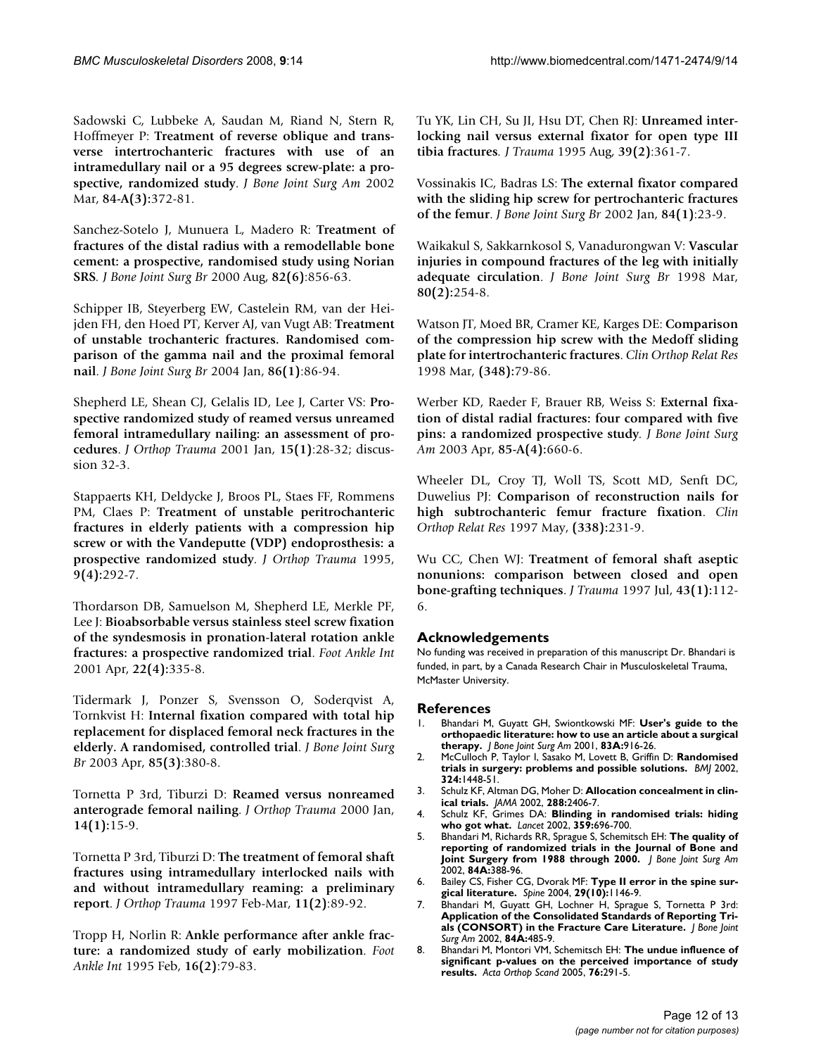Sadowski C, Lubbeke A, Saudan M, Riand N, Stern R, Hoffmeyer P: **Treatment of reverse oblique and transverse intertrochanteric fractures with use of an intramedullary nail or a 95 degrees screw-plate: a prospective, randomized study**. *J Bone Joint Surg Am* 2002 Mar, **84-A(3):**372-81.

Sanchez-Sotelo J, Munuera L, Madero R: **Treatment of fractures of the distal radius with a remodellable bone cement: a prospective, randomised study using Norian SRS***. J Bone Joint Surg Br* 2000 Aug, **82(6)**:856-63.

Schipper IB, Steyerberg EW, Castelein RM, van der Heijden FH, den Hoed PT, Kerver AJ, van Vugt AB: **Treatment of unstable trochanteric fractures. Randomised comparison of the gamma nail and the proximal femoral nail**. *J Bone Joint Surg Br* 2004 Jan, **86(1)**:86-94.

Shepherd LE, Shean CJ, Gelalis ID, Lee J, Carter VS: **Prospective randomized study of reamed versus unreamed femoral intramedullary nailing: an assessment of procedures**. *J Orthop Trauma* 2001 Jan, **15(1)**:28-32; discussion 32-3.

Stappaerts KH, Deldycke J, Broos PL, Staes FF, Rommens PM, Claes P: **Treatment of unstable peritrochanteric fractures in elderly patients with a compression hip screw or with the Vandeputte (VDP) endoprosthesis: a prospective randomized study**. *J Orthop Trauma* 1995, **9(4):**292-7.

Thordarson DB, Samuelson M, Shepherd LE, Merkle PF, Lee J: **Bioabsorbable versus stainless steel screw fixation of the syndesmosis in pronation-lateral rotation ankle fractures: a prospective randomized trial**. *Foot Ankle Int* 2001 Apr, **22(4):**335-8.

Tidermark J, Ponzer S, Svensson O, Soderqvist A, Tornkvist H: **Internal fixation compared with total hip replacement for displaced femoral neck fractures in the elderly. A randomised, controlled trial**. *J Bone Joint Surg Br* 2003 Apr, **85(3)**:380-8.

Tornetta P 3rd, Tiburzi D: **Reamed versus nonreamed anterograde femoral nailing**. *J Orthop Trauma* 2000 Jan, **14(1):**15-9.

Tornetta P 3rd, Tiburzi D: **The treatment of femoral shaft fractures using intramedullary interlocked nails with and without intramedullary reaming: a preliminary report**. *J Orthop Trauma* 1997 Feb-Mar, **11(2)**:89-92.

Tropp H, Norlin R: **Ankle performance after ankle fracture: a randomized study of early mobilization**. *Foot Ankle Int* 1995 Feb, **16(2)**:79-83.

Tu YK, Lin CH, Su JI, Hsu DT, Chen RJ: **Unreamed interlocking nail versus external fixator for open type III tibia fractures***. J Trauma* 1995 Aug, **39(2)**:361-7.

Vossinakis IC, Badras LS: **The external fixator compared with the sliding hip screw for pertrochanteric fractures of the femur**. *J Bone Joint Surg Br* 2002 Jan, **84(1)**:23-9.

Waikakul S, Sakkarnkosol S, Vanadurongwan V: **Vascular injuries in compound fractures of the leg with initially adequate circulation**. *J Bone Joint Surg Br* 1998 Mar, **80(2):**254-8.

Watson JT, Moed BR, Cramer KE, Karges DE: **Comparison of the compression hip screw with the Medoff sliding plate for intertrochanteric fractures**. *Clin Orthop Relat Res* 1998 Mar, **(348):**79-86.

Werber KD, Raeder F, Brauer RB, Weiss S: **External fixation of distal radial fractures: four compared with five pins: a randomized prospective study***. J Bone Joint Surg Am* 2003 Apr, **85-A(4):**660-6.

Wheeler DL, Croy TJ, Woll TS, Scott MD, Senft DC, Duwelius PJ: **Comparison of reconstruction nails for high subtrochanteric femur fracture fixation**. *Clin Orthop Relat Res* 1997 May, **(338):**231-9.

Wu CC, Chen WJ: **Treatment of femoral shaft aseptic nonunions: comparison between closed and open bone-grafting techniques**. *J Trauma* 1997 Jul, **43(1):**112- 6.

# **Acknowledgements**

No funding was received in preparation of this manuscript Dr. Bhandari is funded, in part, by a Canada Research Chair in Musculoskeletal Trauma, McMaster University.

# **References**

- 1. Bhandari M, Guyatt GH, Swiontkowski MF: **User's guide to the orthopaedic literature: how to use an article about a surgical therapy.** *J Bone Joint Surg Am* 2001, **83A:**916-26.
- 2. McCulloch P, Taylor I, Sasako M, Lovett B, Griffin D: **[Randomised](http://www.ncbi.nlm.nih.gov/entrez/query.fcgi?cmd=Retrieve&db=PubMed&dopt=Abstract&list_uids=12065273) [trials in surgery: problems and possible solutions.](http://www.ncbi.nlm.nih.gov/entrez/query.fcgi?cmd=Retrieve&db=PubMed&dopt=Abstract&list_uids=12065273)** *BMJ* 2002, **324:**1448-51.
- 3. Schulz KF, Altman DG, Moher D: **[Allocation concealment in clin](http://www.ncbi.nlm.nih.gov/entrez/query.fcgi?cmd=Retrieve&db=PubMed&dopt=Abstract&list_uids=12435253)[ical trials.](http://www.ncbi.nlm.nih.gov/entrez/query.fcgi?cmd=Retrieve&db=PubMed&dopt=Abstract&list_uids=12435253)** *JAMA* 2002, **288:**2406-7.
- 4. Schulz KF, Grimes DA: **[Blinding in randomised trials: hiding](http://www.ncbi.nlm.nih.gov/entrez/query.fcgi?cmd=Retrieve&db=PubMed&dopt=Abstract&list_uids=11879884) [who got what.](http://www.ncbi.nlm.nih.gov/entrez/query.fcgi?cmd=Retrieve&db=PubMed&dopt=Abstract&list_uids=11879884)** *Lancet* 2002, **359:**696-700.
- 5. Bhandari M, Richards RR, Sprague S, Schemitsch EH: **The quality of reporting of randomized trials in the Journal of Bone and Joint Surgery from 1988 through 2000.** *J Bone Joint Surg Am* 2002, **84A:**388-96.
- 6. Bailey CS, Fisher CG, Dvorak MF: **[Type II error in the spine sur](http://www.ncbi.nlm.nih.gov/entrez/query.fcgi?cmd=Retrieve&db=PubMed&dopt=Abstract&list_uids=15131445)[gical literature.](http://www.ncbi.nlm.nih.gov/entrez/query.fcgi?cmd=Retrieve&db=PubMed&dopt=Abstract&list_uids=15131445)** *Spine* 2004, **29(10):**1146-9.
- 7. Bhandari M, Guyatt GH, Lochner H, Sprague S, Tornetta P 3rd: **Application of the Consolidated Standards of Reporting Trials (CONSORT) in the Fracture Care Literature.** *J Bone Joint Surg Am* 2002, **84A:**485-9.
- 8. Bhandari M, Montori VM, Schemitsch EH: **The undue influence of significant p-values on the perceived importance of study results.** *Acta Orthop Scand* 2005, **76:**291-5.